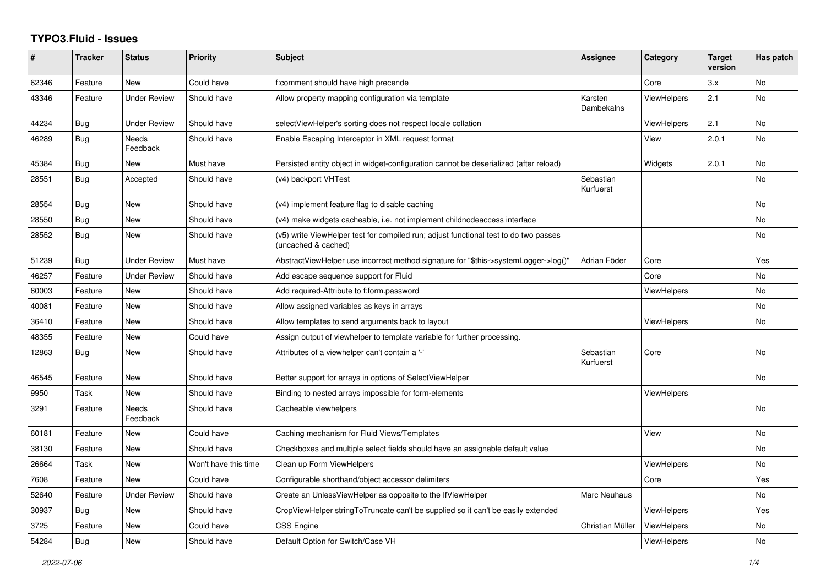## **TYPO3.Fluid - Issues**

| #     | <b>Tracker</b> | <b>Status</b>       | <b>Priority</b>      | <b>Subject</b>                                                                                              | Assignee               | Category           | <b>Target</b><br>version | Has patch |
|-------|----------------|---------------------|----------------------|-------------------------------------------------------------------------------------------------------------|------------------------|--------------------|--------------------------|-----------|
| 62346 | Feature        | <b>New</b>          | Could have           | f:comment should have high precende                                                                         |                        | Core               | 3.x                      | <b>No</b> |
| 43346 | Feature        | <b>Under Review</b> | Should have          | Allow property mapping configuration via template                                                           | Karsten<br>Dambekalns  | <b>ViewHelpers</b> | 2.1                      | <b>No</b> |
| 44234 | Bug            | <b>Under Review</b> | Should have          | selectViewHelper's sorting does not respect locale collation                                                |                        | <b>ViewHelpers</b> | 2.1                      | <b>No</b> |
| 46289 | Bug            | Needs<br>Feedback   | Should have          | Enable Escaping Interceptor in XML request format                                                           |                        | View               | 2.0.1                    | No        |
| 45384 | <b>Bug</b>     | New                 | Must have            | Persisted entity object in widget-configuration cannot be deserialized (after reload)                       |                        | Widgets            | 2.0.1                    | <b>No</b> |
| 28551 | Bug            | Accepted            | Should have          | (v4) backport VHTest                                                                                        | Sebastian<br>Kurfuerst |                    |                          | No.       |
| 28554 | Bug            | New                 | Should have          | (v4) implement feature flag to disable caching                                                              |                        |                    |                          | <b>No</b> |
| 28550 | <b>Bug</b>     | New                 | Should have          | (v4) make widgets cacheable, i.e. not implement childnodeaccess interface                                   |                        |                    |                          | No        |
| 28552 | <b>Bug</b>     | <b>New</b>          | Should have          | (v5) write ViewHelper test for compiled run; adjust functional test to do two passes<br>(uncached & cached) |                        |                    |                          | No.       |
| 51239 | Bug            | <b>Under Review</b> | Must have            | AbstractViewHelper use incorrect method signature for "\$this->systemLogger->log()"                         | Adrian Föder           | Core               |                          | Yes       |
| 46257 | Feature        | <b>Under Review</b> | Should have          | Add escape sequence support for Fluid                                                                       |                        | Core               |                          | <b>No</b> |
| 60003 | Feature        | New                 | Should have          | Add required-Attribute to f:form.password                                                                   |                        | ViewHelpers        |                          | <b>No</b> |
| 40081 | Feature        | New                 | Should have          | Allow assigned variables as keys in arrays                                                                  |                        |                    |                          | No        |
| 36410 | Feature        | New                 | Should have          | Allow templates to send arguments back to layout                                                            |                        | <b>ViewHelpers</b> |                          | No        |
| 48355 | Feature        | New                 | Could have           | Assign output of viewhelper to template variable for further processing.                                    |                        |                    |                          |           |
| 12863 | <b>Bug</b>     | New                 | Should have          | Attributes of a viewhelper can't contain a '-'                                                              | Sebastian<br>Kurfuerst | Core               |                          | <b>No</b> |
| 46545 | Feature        | New                 | Should have          | Better support for arrays in options of SelectViewHelper                                                    |                        |                    |                          | No.       |
| 9950  | Task           | <b>New</b>          | Should have          | Binding to nested arrays impossible for form-elements                                                       |                        | <b>ViewHelpers</b> |                          |           |
| 3291  | Feature        | Needs<br>Feedback   | Should have          | Cacheable viewhelpers                                                                                       |                        |                    |                          | No        |
| 60181 | Feature        | <b>New</b>          | Could have           | Caching mechanism for Fluid Views/Templates                                                                 |                        | View               |                          | <b>No</b> |
| 38130 | Feature        | New                 | Should have          | Checkboxes and multiple select fields should have an assignable default value                               |                        |                    |                          | No        |
| 26664 | Task           | New                 | Won't have this time | Clean up Form ViewHelpers                                                                                   |                        | <b>ViewHelpers</b> |                          | No        |
| 7608  | Feature        | <b>New</b>          | Could have           | Configurable shorthand/object accessor delimiters                                                           |                        | Core               |                          | Yes       |
| 52640 | Feature        | <b>Under Review</b> | Should have          | Create an UnlessViewHelper as opposite to the IfViewHelper                                                  | Marc Neuhaus           |                    |                          | No        |
| 30937 | Bug            | New                 | Should have          | CropViewHelper stringToTruncate can't be supplied so it can't be easily extended                            |                        | <b>ViewHelpers</b> |                          | Yes       |
| 3725  | Feature        | New                 | Could have           | <b>CSS Engine</b>                                                                                           | Christian Müller       | <b>ViewHelpers</b> |                          | No        |
| 54284 | Bug            | New                 | Should have          | Default Option for Switch/Case VH                                                                           |                        | ViewHelpers        |                          | No.       |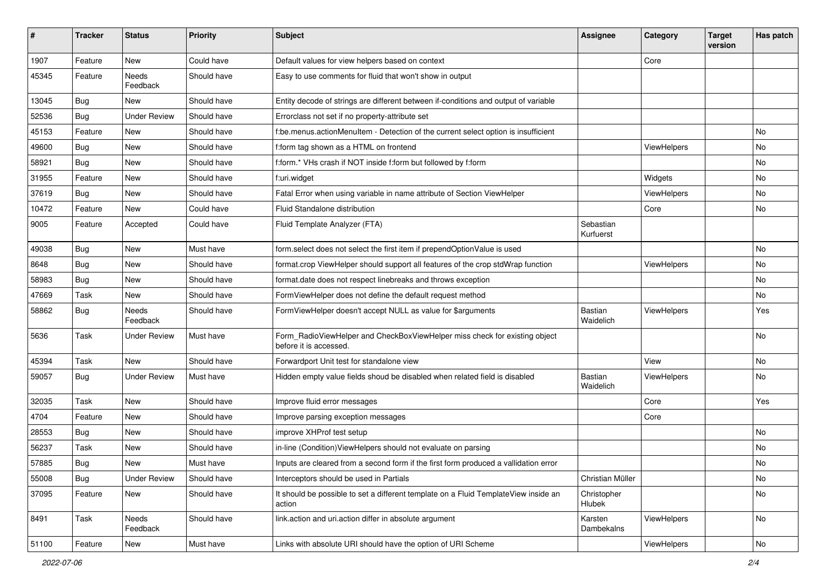| $\pmb{\#}$ | <b>Tracker</b> | <b>Status</b>       | <b>Priority</b> | Subject                                                                                              | <b>Assignee</b>        | Category           | <b>Target</b><br>version | Has patch     |
|------------|----------------|---------------------|-----------------|------------------------------------------------------------------------------------------------------|------------------------|--------------------|--------------------------|---------------|
| 1907       | Feature        | New                 | Could have      | Default values for view helpers based on context                                                     |                        | Core               |                          |               |
| 45345      | Feature        | Needs<br>Feedback   | Should have     | Easy to use comments for fluid that won't show in output                                             |                        |                    |                          |               |
| 13045      | Bug            | New                 | Should have     | Entity decode of strings are different between if-conditions and output of variable                  |                        |                    |                          |               |
| 52536      | Bug            | <b>Under Review</b> | Should have     | Errorclass not set if no property-attribute set                                                      |                        |                    |                          |               |
| 45153      | Feature        | <b>New</b>          | Should have     | f:be.menus.actionMenuItem - Detection of the current select option is insufficient                   |                        |                    |                          | No            |
| 49600      | Bug            | New                 | Should have     | f:form tag shown as a HTML on frontend                                                               |                        | <b>ViewHelpers</b> |                          | No            |
| 58921      | <b>Bug</b>     | New                 | Should have     | f:form.* VHs crash if NOT inside f:form but followed by f:form                                       |                        |                    |                          | No            |
| 31955      | Feature        | <b>New</b>          | Should have     | f:uri.widget                                                                                         |                        | Widgets            |                          | No            |
| 37619      | Bug            | <b>New</b>          | Should have     | Fatal Error when using variable in name attribute of Section ViewHelper                              |                        | ViewHelpers        |                          | No            |
| 10472      | Feature        | <b>New</b>          | Could have      | Fluid Standalone distribution                                                                        |                        | Core               |                          | No            |
| 9005       | Feature        | Accepted            | Could have      | Fluid Template Analyzer (FTA)                                                                        | Sebastian<br>Kurfuerst |                    |                          |               |
| 49038      | Bug            | <b>New</b>          | Must have       | form.select does not select the first item if prependOptionValue is used                             |                        |                    |                          | No            |
| 8648       | Bug            | <b>New</b>          | Should have     | format.crop ViewHelper should support all features of the crop stdWrap function                      |                        | <b>ViewHelpers</b> |                          | No            |
| 58983      | Bug            | New                 | Should have     | format.date does not respect linebreaks and throws exception                                         |                        |                    |                          | No            |
| 47669      | Task           | New                 | Should have     | FormViewHelper does not define the default request method                                            |                        |                    |                          | No            |
| 58862      | <b>Bug</b>     | Needs<br>Feedback   | Should have     | FormViewHelper doesn't accept NULL as value for \$arguments                                          | Bastian<br>Waidelich   | ViewHelpers        |                          | Yes           |
| 5636       | Task           | <b>Under Review</b> | Must have       | Form_RadioViewHelper and CheckBoxViewHelper miss check for existing object<br>before it is accessed. |                        |                    |                          | No            |
| 45394      | Task           | <b>New</b>          | Should have     | Forwardport Unit test for standalone view                                                            |                        | View               |                          | No            |
| 59057      | Bug            | <b>Under Review</b> | Must have       | Hidden empty value fields shoud be disabled when related field is disabled                           | Bastian<br>Waidelich   | <b>ViewHelpers</b> |                          | No            |
| 32035      | Task           | New                 | Should have     | Improve fluid error messages                                                                         |                        | Core               |                          | Yes           |
| 4704       | Feature        | New                 | Should have     | Improve parsing exception messages                                                                   |                        | Core               |                          |               |
| 28553      | Bug            | New                 | Should have     | improve XHProf test setup                                                                            |                        |                    |                          | No            |
| 56237      | Task           | New                 | Should have     | in-line (Condition) View Helpers should not evaluate on parsing                                      |                        |                    |                          | No            |
| 57885      | <b>Bug</b>     | New                 | Must have       | Inputs are cleared from a second form if the first form produced a vallidation error                 |                        |                    |                          | No            |
| 55008      | Bug            | <b>Under Review</b> | Should have     | Interceptors should be used in Partials                                                              | Christian Müller       |                    |                          | No            |
| 37095      | Feature        | <b>New</b>          | Should have     | It should be possible to set a different template on a Fluid TemplateView inside an<br>action        | Christopher<br>Hlubek  |                    |                          | No            |
| 8491       | Task           | Needs<br>Feedback   | Should have     | link.action and uri.action differ in absolute argument                                               | Karsten<br>Dambekalns  | <b>ViewHelpers</b> |                          | No            |
| 51100      | Feature        | New                 | Must have       | Links with absolute URI should have the option of URI Scheme                                         |                        | ViewHelpers        |                          | $\mathsf{No}$ |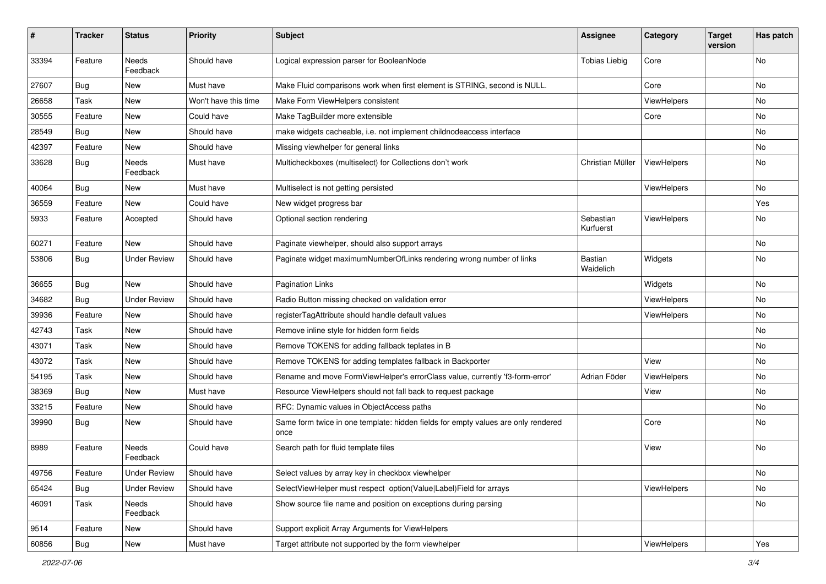| $\vert$ # | <b>Tracker</b> | <b>Status</b>       | <b>Priority</b>      | <b>Subject</b>                                                                            | <b>Assignee</b>        | Category    | <b>Target</b><br>version | Has patch |
|-----------|----------------|---------------------|----------------------|-------------------------------------------------------------------------------------------|------------------------|-------------|--------------------------|-----------|
| 33394     | Feature        | Needs<br>Feedback   | Should have          | Logical expression parser for BooleanNode                                                 | <b>Tobias Liebig</b>   | Core        |                          | No        |
| 27607     | Bug            | New                 | Must have            | Make Fluid comparisons work when first element is STRING, second is NULL.                 |                        | Core        |                          | No        |
| 26658     | Task           | New                 | Won't have this time | Make Form ViewHelpers consistent                                                          |                        | ViewHelpers |                          | No        |
| 30555     | Feature        | New                 | Could have           | Make TagBuilder more extensible                                                           |                        | Core        |                          | No        |
| 28549     | Bug            | New                 | Should have          | make widgets cacheable, i.e. not implement childnodeaccess interface                      |                        |             |                          | No        |
| 42397     | Feature        | New                 | Should have          | Missing viewhelper for general links                                                      |                        |             |                          | No        |
| 33628     | <b>Bug</b>     | Needs<br>Feedback   | Must have            | Multicheckboxes (multiselect) for Collections don't work                                  | Christian Müller       | ViewHelpers |                          | No        |
| 40064     | Bug            | New                 | Must have            | Multiselect is not getting persisted                                                      |                        | ViewHelpers |                          | No        |
| 36559     | Feature        | New                 | Could have           | New widget progress bar                                                                   |                        |             |                          | Yes       |
| 5933      | Feature        | Accepted            | Should have          | Optional section rendering                                                                | Sebastian<br>Kurfuerst | ViewHelpers |                          | No        |
| 60271     | Feature        | <b>New</b>          | Should have          | Paginate viewhelper, should also support arrays                                           |                        |             |                          | No        |
| 53806     | Bug            | <b>Under Review</b> | Should have          | Paginate widget maximumNumberOfLinks rendering wrong number of links                      | Bastian<br>Waidelich   | Widgets     |                          | No        |
| 36655     | Bug            | New                 | Should have          | <b>Pagination Links</b>                                                                   |                        | Widgets     |                          | No        |
| 34682     | Bug            | <b>Under Review</b> | Should have          | Radio Button missing checked on validation error                                          |                        | ViewHelpers |                          | No        |
| 39936     | Feature        | <b>New</b>          | Should have          | registerTagAttribute should handle default values                                         |                        | ViewHelpers |                          | No        |
| 42743     | Task           | New                 | Should have          | Remove inline style for hidden form fields                                                |                        |             |                          | No        |
| 43071     | Task           | New                 | Should have          | Remove TOKENS for adding fallback teplates in B                                           |                        |             |                          | No        |
| 43072     | Task           | New                 | Should have          | Remove TOKENS for adding templates fallback in Backporter                                 |                        | View        |                          | No        |
| 54195     | Task           | New                 | Should have          | Rename and move FormViewHelper's errorClass value, currently 'f3-form-error'              | Adrian Föder           | ViewHelpers |                          | No        |
| 38369     | Bug            | New                 | Must have            | Resource ViewHelpers should not fall back to request package                              |                        | View        |                          | No        |
| 33215     | Feature        | New                 | Should have          | RFC: Dynamic values in ObjectAccess paths                                                 |                        |             |                          | No        |
| 39990     | Bug            | New                 | Should have          | Same form twice in one template: hidden fields for empty values are only rendered<br>once |                        | Core        |                          | No        |
| 8989      | Feature        | Needs<br>Feedback   | Could have           | Search path for fluid template files                                                      |                        | View        |                          | No        |
| 49756     | Feature        | <b>Under Review</b> | Should have          | Select values by array key in checkbox viewhelper                                         |                        |             |                          | No        |
| 65424     | Bug            | <b>Under Review</b> | Should have          | SelectViewHelper must respect option(Value Label)Field for arrays                         |                        | ViewHelpers |                          | No        |
| 46091     | Task           | Needs<br>Feedback   | Should have          | Show source file name and position on exceptions during parsing                           |                        |             |                          | No        |
| 9514      | Feature        | New                 | Should have          | Support explicit Array Arguments for ViewHelpers                                          |                        |             |                          |           |
| 60856     | <b>Bug</b>     | New                 | Must have            | Target attribute not supported by the form viewhelper                                     |                        | ViewHelpers |                          | Yes       |